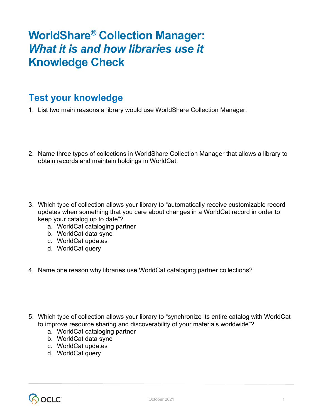## **WorldShare® Collection Manager:** *What it is and how libraries use it* **Knowledge Check**

## **Test your knowledge**

- 1. List two main reasons a library would use WorldShare Collection Manager.
- 2. Name three types of collections in WorldShare Collection Manager that allows a library to obtain records and maintain holdings in WorldCat.
- 3. Which type of collection allows your library to "automatically receive customizable record updates when something that you care about changes in a WorldCat record in order to keep your catalog up to date"?
	- a. WorldCat cataloging partner
	- b. WorldCat data sync
	- c. WorldCat updates
	- d. WorldCat query
- 4. Name one reason why libraries use WorldCat cataloging partner collections?
- 5. Which type of collection allows your library to "synchronize its entire catalog with WorldCat to improve resource sharing and discoverability of your materials worldwide"?
	- a. WorldCat cataloging partner
	- b. WorldCat data sync
	- c. WorldCat updates
	- d. WorldCat query

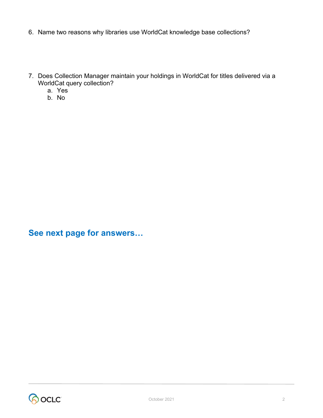- 6. Name two reasons why libraries use WorldCat knowledge base collections?
- 7. Does Collection Manager maintain your holdings in WorldCat for titles delivered via a WorldCat query collection?
	- a. Yes
	- b. No

**See next page for answers…**